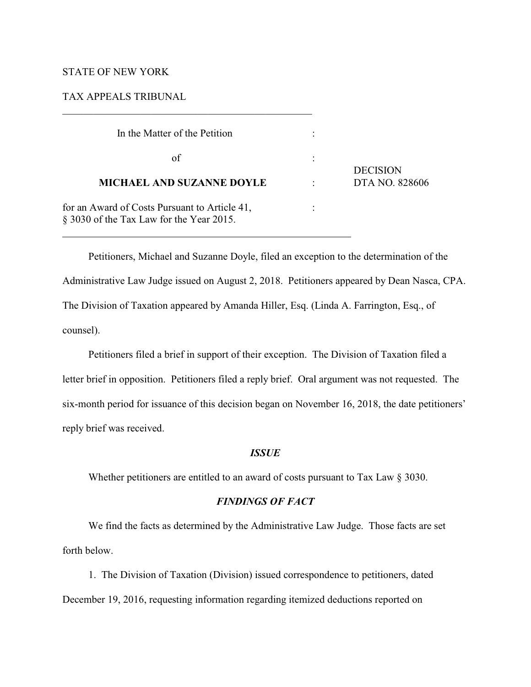# STATE OF NEW YORK

l

#### TAX APPEALS TRIBUNAL

 $\mathcal{L}_\mathcal{L} = \{ \mathcal{L}_\mathcal{L} = \{ \mathcal{L}_\mathcal{L} = \{ \mathcal{L}_\mathcal{L} = \{ \mathcal{L}_\mathcal{L} = \{ \mathcal{L}_\mathcal{L} = \{ \mathcal{L}_\mathcal{L} = \{ \mathcal{L}_\mathcal{L} = \{ \mathcal{L}_\mathcal{L} = \{ \mathcal{L}_\mathcal{L} = \{ \mathcal{L}_\mathcal{L} = \{ \mathcal{L}_\mathcal{L} = \{ \mathcal{L}_\mathcal{L} = \{ \mathcal{L}_\mathcal{L} = \{ \mathcal{L}_\mathcal{$ 

| In the Matter of the Petition                                                                |                 |
|----------------------------------------------------------------------------------------------|-----------------|
| of                                                                                           | <b>DECISION</b> |
| <b>MICHAEL AND SUZANNE DOYLE</b>                                                             | DTA NO. 828606  |
| for an Award of Costs Pursuant to Article 41,<br>$\S$ 3030 of the Tax Law for the Year 2015. |                 |

Petitioners, Michael and Suzanne Doyle, filed an exception to the determination of the Administrative Law Judge issued on August 2, 2018. Petitioners appeared by Dean Nasca, CPA. The Division of Taxation appeared by Amanda Hiller, Esq. (Linda A. Farrington, Esq., of counsel).

Petitioners filed a brief in support of their exception. The Division of Taxation filed a letter brief in opposition. Petitioners filed a reply brief. Oral argument was not requested. The six-month period for issuance of this decision began on November 16, 2018, the date petitioners' reply brief was received.

### *ISSUE*

Whether petitioners are entitled to an award of costs pursuant to Tax Law § 3030.

## *FINDINGS OF FACT*

We find the facts as determined by the Administrative Law Judge. Those facts are set forth below.

1. The Division of Taxation (Division) issued correspondence to petitioners, dated December 19, 2016, requesting information regarding itemized deductions reported on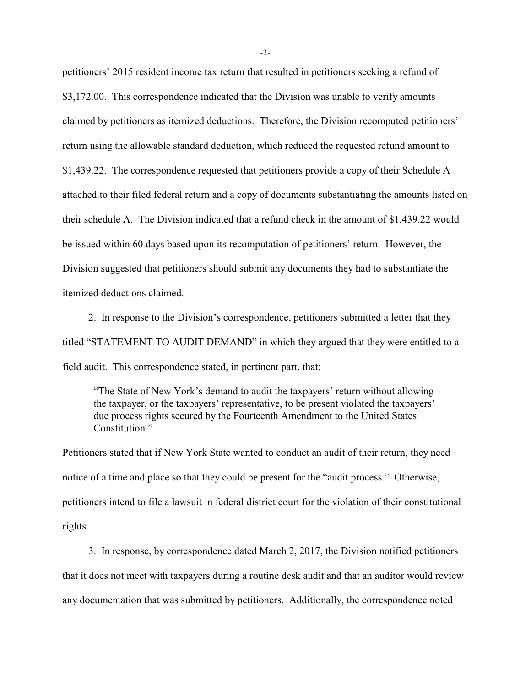petitioners' 2015 resident income tax return that resulted in petitioners seeking a refund of \$3,172.00. This correspondence indicated that the Division was unable to verify amounts claimed by petitioners as itemized deductions. Therefore, the Division recomputed petitioners' return using the allowable standard deduction, which reduced the requested refund amount to \$1,439.22. The correspondence requested that petitioners provide a copy of their Schedule A attached to their filed federal return and a copy of documents substantiating the amounts listed on their schedule A. The Division indicated that a refund check in the amount of \$1,439.22 would be issued within 60 days based upon its recomputation of petitioners' return. However, the Division suggested that petitioners should submit any documents they had to substantiate the itemized deductions claimed.

2. In response to the Division's correspondence, petitioners submitted a letter that they titled "STATEMENT TO AUDIT DEMAND" in which they argued that they were entitled to a field audit. This correspondence stated, in pertinent part, that:

"The State of New York's demand to audit the taxpayers' return without allowing the taxpayer, or the taxpayers' representative, to be present violated the taxpayers' due process rights secured by the Fourteenth Amendment to the United States Constitution<sup>"</sup>

Petitioners stated that if New York State wanted to conduct an audit of their return, they need notice of a time and place so that they could be present for the "audit process." Otherwise, petitioners intend to file a lawsuit in federal district court for the violation of their constitutional rights.

3. In response, by correspondence dated March 2, 2017, the Division notified petitioners that it does not meet with taxpayers during a routine desk audit and that an auditor would review any documentation that was submitted by petitioners. Additionally, the correspondence noted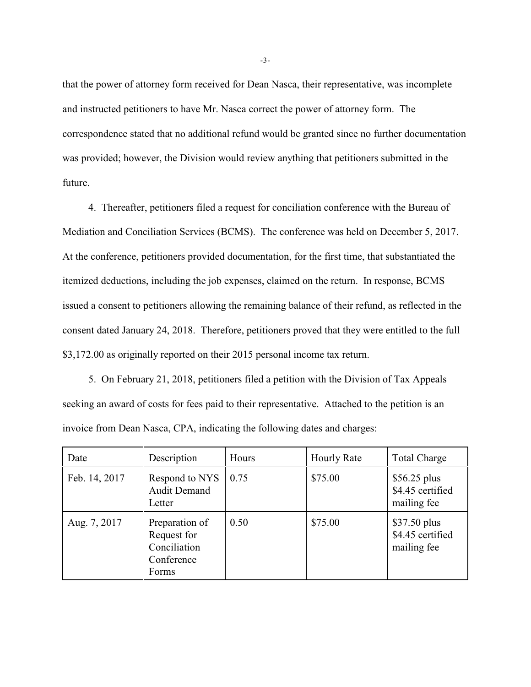that the power of attorney form received for Dean Nasca, their representative, was incomplete and instructed petitioners to have Mr. Nasca correct the power of attorney form. The correspondence stated that no additional refund would be granted since no further documentation was provided; however, the Division would review anything that petitioners submitted in the future.

4. Thereafter, petitioners filed a request for conciliation conference with the Bureau of Mediation and Conciliation Services (BCMS). The conference was held on December 5, 2017. At the conference, petitioners provided documentation, for the first time, that substantiated the itemized deductions, including the job expenses, claimed on the return. In response, BCMS issued a consent to petitioners allowing the remaining balance of their refund, as reflected in the consent dated January 24, 2018. Therefore, petitioners proved that they were entitled to the full \$3,172.00 as originally reported on their 2015 personal income tax return.

5. On February 21, 2018, petitioners filed a petition with the Division of Tax Appeals seeking an award of costs for fees paid to their representative. Attached to the petition is an invoice from Dean Nasca, CPA, indicating the following dates and charges:

| Date          | Description                                                          | Hours | <b>Hourly Rate</b> | <b>Total Charge</b>                              |
|---------------|----------------------------------------------------------------------|-------|--------------------|--------------------------------------------------|
| Feb. 14, 2017 | Respond to NYS<br><b>Audit Demand</b><br>Letter                      | 0.75  | \$75.00            | $$56.25$ plus<br>\$4.45 certified<br>mailing fee |
| Aug. 7, 2017  | Preparation of<br>Request for<br>Conciliation<br>Conference<br>Forms | 0.50  | \$75.00            | \$37.50 plus<br>\$4.45 certified<br>mailing fee  |

-3-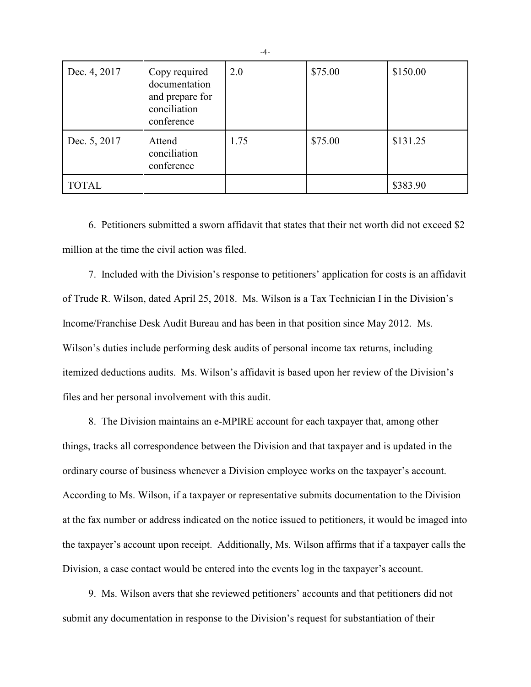| Dec. 4, 2017 | Copy required<br>documentation<br>and prepare for<br>conciliation<br>conference | 2.0  | \$75.00 | \$150.00 |
|--------------|---------------------------------------------------------------------------------|------|---------|----------|
| Dec. 5, 2017 | Attend<br>conciliation<br>conference                                            | 1.75 | \$75.00 | \$131.25 |
| <b>TOTAL</b> |                                                                                 |      |         | \$383.90 |

6. Petitioners submitted a sworn affidavit that states that their net worth did not exceed \$2 million at the time the civil action was filed.

7. Included with the Division's response to petitioners' application for costs is an affidavit of Trude R. Wilson, dated April 25, 2018. Ms. Wilson is a Tax Technician I in the Division's Income/Franchise Desk Audit Bureau and has been in that position since May 2012. Ms. Wilson's duties include performing desk audits of personal income tax returns, including itemized deductions audits. Ms. Wilson's affidavit is based upon her review of the Division's files and her personal involvement with this audit.

8. The Division maintains an e-MPIRE account for each taxpayer that, among other things, tracks all correspondence between the Division and that taxpayer and is updated in the ordinary course of business whenever a Division employee works on the taxpayer's account. According to Ms. Wilson, if a taxpayer or representative submits documentation to the Division at the fax number or address indicated on the notice issued to petitioners, it would be imaged into the taxpayer's account upon receipt. Additionally, Ms. Wilson affirms that if a taxpayer calls the Division, a case contact would be entered into the events log in the taxpayer's account.

9. Ms. Wilson avers that she reviewed petitioners' accounts and that petitioners did not submit any documentation in response to the Division's request for substantiation of their

-4-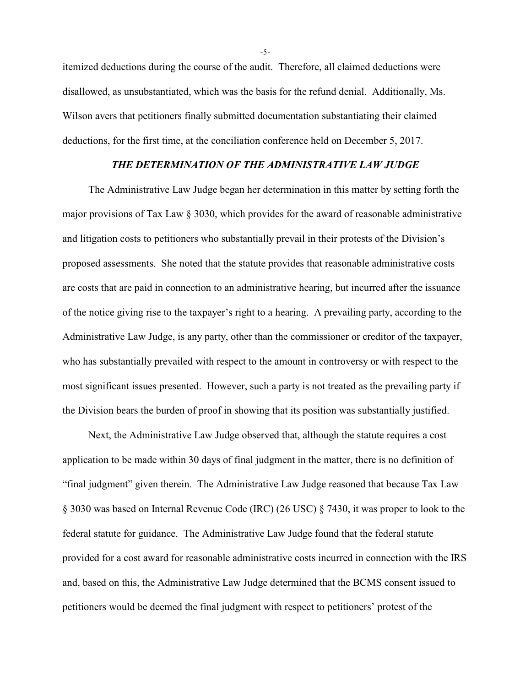itemized deductions during the course of the audit. Therefore, all claimed deductions were disallowed, as unsubstantiated, which was the basis for the refund denial. Additionally, Ms. Wilson avers that petitioners finally submitted documentation substantiating their claimed deductions, for the first time, at the conciliation conference held on December 5, 2017.

# *THE DETERMINATION OF THE ADMINISTRATIVE LAW JUDGE*

The Administrative Law Judge began her determination in this matter by setting forth the major provisions of Tax Law § 3030, which provides for the award of reasonable administrative and litigation costs to petitioners who substantially prevail in their protests of the Division's proposed assessments. She noted that the statute provides that reasonable administrative costs are costs that are paid in connection to an administrative hearing, but incurred after the issuance of the notice giving rise to the taxpayer's right to a hearing. A prevailing party, according to the Administrative Law Judge, is any party, other than the commissioner or creditor of the taxpayer, who has substantially prevailed with respect to the amount in controversy or with respect to the most significant issues presented. However, such a party is not treated as the prevailing party if the Division bears the burden of proof in showing that its position was substantially justified.

Next, the Administrative Law Judge observed that, although the statute requires a cost application to be made within 30 days of final judgment in the matter, there is no definition of "final judgment" given therein. The Administrative Law Judge reasoned that because Tax Law § 3030 was based on Internal Revenue Code (IRC) (26 USC) § 7430, it was proper to look to the federal statute for guidance. The Administrative Law Judge found that the federal statute provided for a cost award for reasonable administrative costs incurred in connection with the IRS and, based on this, the Administrative Law Judge determined that the BCMS consent issued to petitioners would be deemed the final judgment with respect to petitioners' protest of the

-5-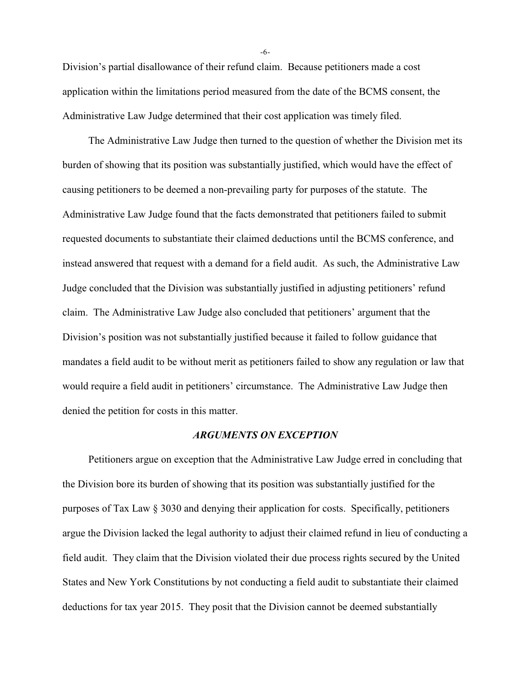Division's partial disallowance of their refund claim. Because petitioners made a cost application within the limitations period measured from the date of the BCMS consent, the Administrative Law Judge determined that their cost application was timely filed.

The Administrative Law Judge then turned to the question of whether the Division met its burden of showing that its position was substantially justified, which would have the effect of causing petitioners to be deemed a non-prevailing party for purposes of the statute. The Administrative Law Judge found that the facts demonstrated that petitioners failed to submit requested documents to substantiate their claimed deductions until the BCMS conference, and instead answered that request with a demand for a field audit. As such, the Administrative Law Judge concluded that the Division was substantially justified in adjusting petitioners' refund claim. The Administrative Law Judge also concluded that petitioners' argument that the Division's position was not substantially justified because it failed to follow guidance that mandates a field audit to be without merit as petitioners failed to show any regulation or law that would require a field audit in petitioners' circumstance. The Administrative Law Judge then denied the petition for costs in this matter.

#### *ARGUMENTS ON EXCEPTION*

Petitioners argue on exception that the Administrative Law Judge erred in concluding that the Division bore its burden of showing that its position was substantially justified for the purposes of Tax Law § 3030 and denying their application for costs. Specifically, petitioners argue the Division lacked the legal authority to adjust their claimed refund in lieu of conducting a field audit. They claim that the Division violated their due process rights secured by the United States and New York Constitutions by not conducting a field audit to substantiate their claimed deductions for tax year 2015. They posit that the Division cannot be deemed substantially

-6-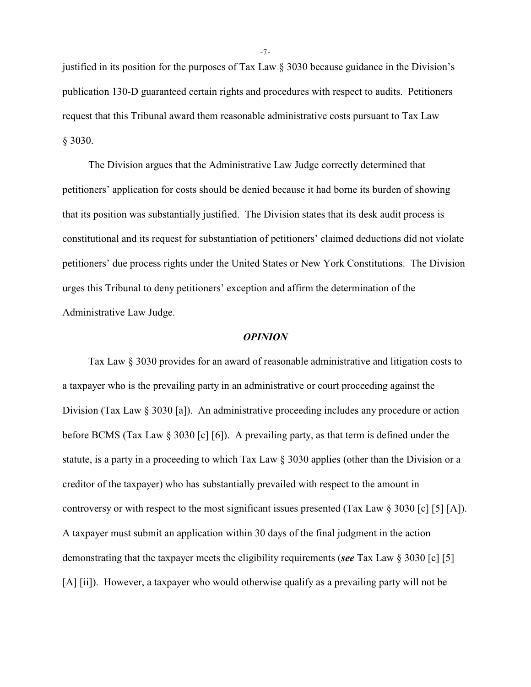justified in its position for the purposes of Tax Law § 3030 because guidance in the Division's publication 130-D guaranteed certain rights and procedures with respect to audits. Petitioners request that this Tribunal award them reasonable administrative costs pursuant to Tax Law § 3030.

The Division argues that the Administrative Law Judge correctly determined that petitioners' application for costs should be denied because it had borne its burden of showing that its position was substantially justified. The Division states that its desk audit process is constitutional and its request for substantiation of petitioners' claimed deductions did not violate petitioners' due process rights under the United States or New York Constitutions. The Division urges this Tribunal to deny petitioners' exception and affirm the determination of the Administrative Law Judge.

#### *OPINION*

Tax Law § 3030 provides for an award of reasonable administrative and litigation costs to a taxpayer who is the prevailing party in an administrative or court proceeding against the Division (Tax Law § 3030 [a]). An administrative proceeding includes any procedure or action before BCMS (Tax Law § 3030 [c] [6]). A prevailing party, as that term is defined under the statute, is a party in a proceeding to which Tax Law § 3030 applies (other than the Division or a creditor of the taxpayer) who has substantially prevailed with respect to the amount in controversy or with respect to the most significant issues presented (Tax Law § 3030 [c] [5] [A]). A taxpayer must submit an application within 30 days of the final judgment in the action demonstrating that the taxpayer meets the eligibility requirements (*see* Tax Law § 3030 [c] [5] [A] [ii]). However, a taxpayer who would otherwise qualify as a prevailing party will not be

-7-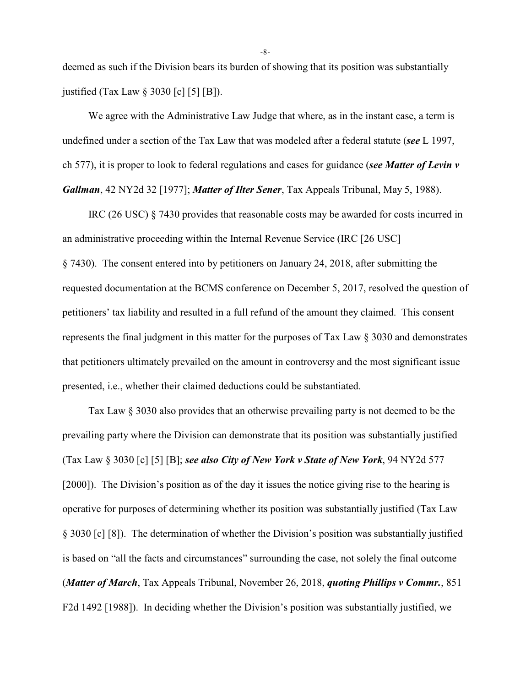deemed as such if the Division bears its burden of showing that its position was substantially justified (Tax Law § 3030 [c] [5] [B]).

We agree with the Administrative Law Judge that where, as in the instant case, a term is undefined under a section of the Tax Law that was modeled after a federal statute (*see* L 1997, ch 577), it is proper to look to federal regulations and cases for guidance (*see Matter of Levin v Gallman*, 42 NY2d 32 [1977]; *Matter of Ilter Sener*, Tax Appeals Tribunal, May 5, 1988).

IRC (26 USC) § 7430 provides that reasonable costs may be awarded for costs incurred in an administrative proceeding within the Internal Revenue Service (IRC [26 USC] § 7430). The consent entered into by petitioners on January 24, 2018, after submitting the requested documentation at the BCMS conference on December 5, 2017, resolved the question of petitioners' tax liability and resulted in a full refund of the amount they claimed. This consent represents the final judgment in this matter for the purposes of Tax Law § 3030 and demonstrates that petitioners ultimately prevailed on the amount in controversy and the most significant issue presented, i.e., whether their claimed deductions could be substantiated.

Tax Law § 3030 also provides that an otherwise prevailing party is not deemed to be the prevailing party where the Division can demonstrate that its position was substantially justified (Tax Law § 3030 [c] [5] [B]; *see also City of New York v State of New York*, 94 NY2d 577 [2000]). The Division's position as of the day it issues the notice giving rise to the hearing is operative for purposes of determining whether its position was substantially justified (Tax Law § 3030 [c] [8]). The determination of whether the Division's position was substantially justified is based on "all the facts and circumstances" surrounding the case, not solely the final outcome (*Matter of March*, Tax Appeals Tribunal, November 26, 2018, *quoting Phillips v Commr.*, 851 F2d 1492 [1988]). In deciding whether the Division's position was substantially justified, we

-8-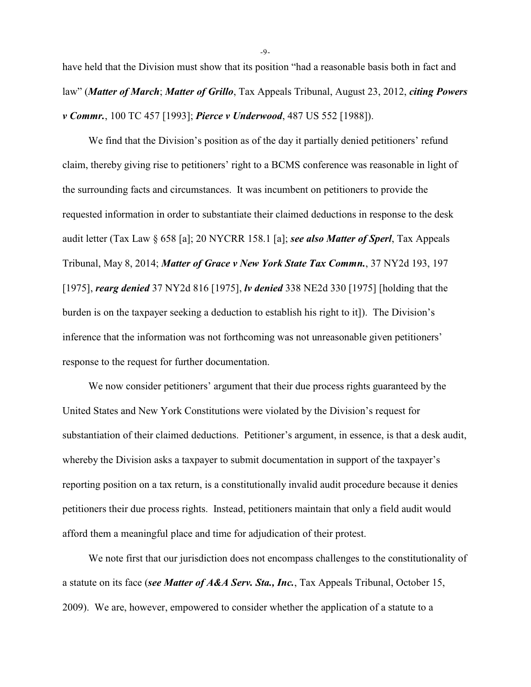have held that the Division must show that its position "had a reasonable basis both in fact and law" (*Matter of March*; *Matter of Grillo*, Tax Appeals Tribunal, August 23, 2012, *citing Powers v Commr.*, 100 TC 457 [1993]; *Pierce v Underwood*, 487 US 552 [1988]).

We find that the Division's position as of the day it partially denied petitioners' refund claim, thereby giving rise to petitioners' right to a BCMS conference was reasonable in light of the surrounding facts and circumstances. It was incumbent on petitioners to provide the requested information in order to substantiate their claimed deductions in response to the desk audit letter (Tax Law § 658 [a]; 20 NYCRR 158.1 [a]; *see also Matter of Sperl*, Tax Appeals Tribunal, May 8, 2014; *Matter of Grace v New York State Tax Commn.*, 37 NY2d 193, 197 [1975], *rearg denied* 37 NY2d 816 [1975], *lv denied* 338 NE2d 330 [1975] [holding that the burden is on the taxpayer seeking a deduction to establish his right to it]). The Division's inference that the information was not forthcoming was not unreasonable given petitioners' response to the request for further documentation.

We now consider petitioners' argument that their due process rights guaranteed by the United States and New York Constitutions were violated by the Division's request for substantiation of their claimed deductions. Petitioner's argument, in essence, is that a desk audit, whereby the Division asks a taxpayer to submit documentation in support of the taxpayer's reporting position on a tax return, is a constitutionally invalid audit procedure because it denies petitioners their due process rights. Instead, petitioners maintain that only a field audit would afford them a meaningful place and time for adjudication of their protest.

We note first that our jurisdiction does not encompass challenges to the constitutionality of a statute on its face (*see Matter of A&A Serv. Sta., Inc.*, Tax Appeals Tribunal, October 15, 2009). We are, however, empowered to consider whether the application of a statute to a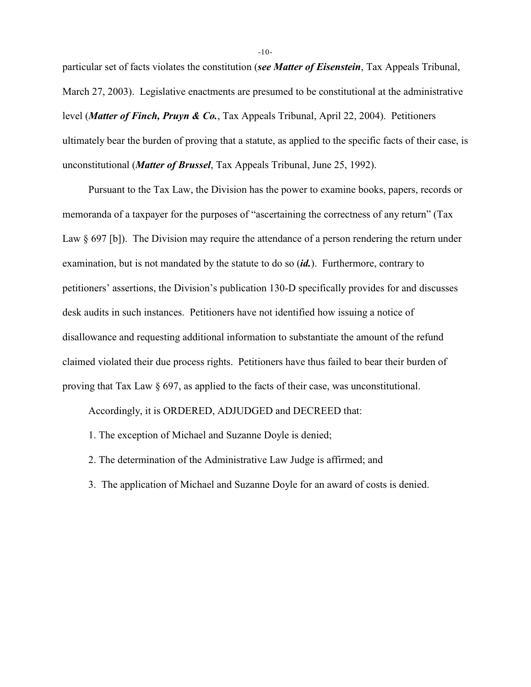particular set of facts violates the constitution (*see Matter of Eisenstein*, Tax Appeals Tribunal, March 27, 2003). Legislative enactments are presumed to be constitutional at the administrative level (*Matter of Finch, Pruyn & Co.*, Tax Appeals Tribunal, April 22, 2004). Petitioners ultimately bear the burden of proving that a statute, as applied to the specific facts of their case, is unconstitutional (*Matter of Brussel*, Tax Appeals Tribunal, June 25, 1992).

Pursuant to the Tax Law, the Division has the power to examine books, papers, records or memoranda of a taxpayer for the purposes of "ascertaining the correctness of any return" (Tax Law § 697 [b]). The Division may require the attendance of a person rendering the return under examination, but is not mandated by the statute to do so (*id.*). Furthermore, contrary to petitioners' assertions, the Division's publication 130-D specifically provides for and discusses desk audits in such instances. Petitioners have not identified how issuing a notice of disallowance and requesting additional information to substantiate the amount of the refund claimed violated their due process rights. Petitioners have thus failed to bear their burden of proving that Tax Law § 697, as applied to the facts of their case, was unconstitutional.

Accordingly, it is ORDERED, ADJUDGED and DECREED that:

- 1. The exception of Michael and Suzanne Doyle is denied;
- 2. The determination of the Administrative Law Judge is affirmed; and
- 3. The application of Michael and Suzanne Doyle for an award of costs is denied.